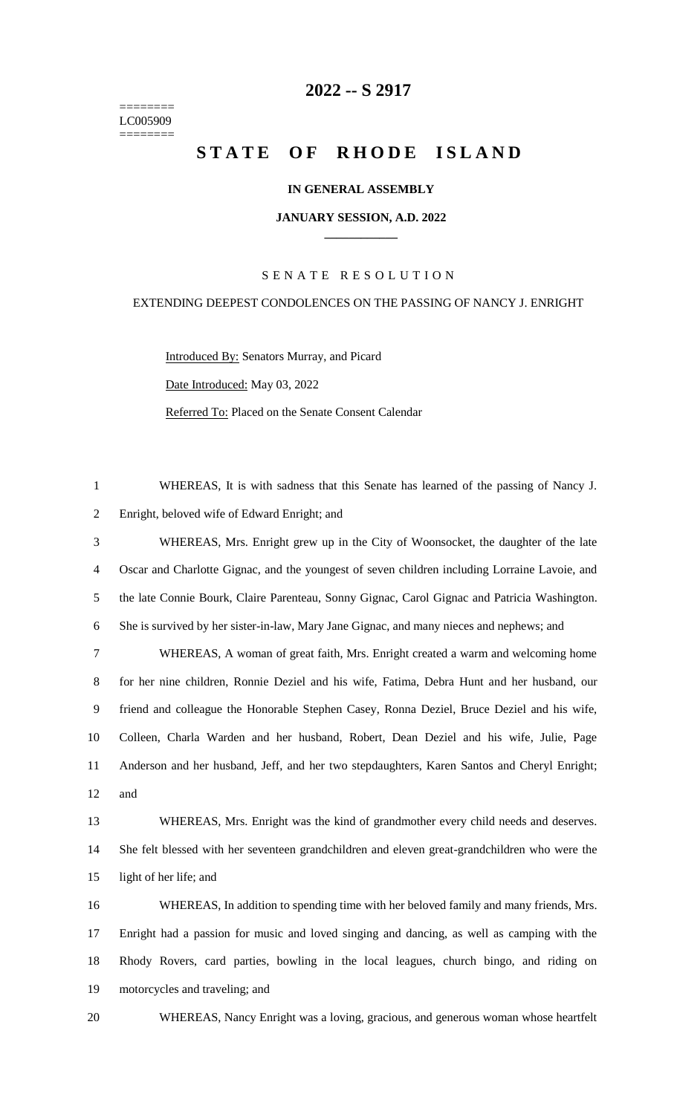======== LC005909 ========

# **-- S 2917**

# **STATE OF RHODE ISLAND**

### **IN GENERAL ASSEMBLY**

#### **JANUARY SESSION, A.D. 2022 \_\_\_\_\_\_\_\_\_\_\_\_**

## S E N A T E R E S O L U T I O N

#### EXTENDING DEEPEST CONDOLENCES ON THE PASSING OF NANCY J. ENRIGHT

Introduced By: Senators Murray, and Picard Date Introduced: May 03, 2022 Referred To: Placed on the Senate Consent Calendar

 WHEREAS, It is with sadness that this Senate has learned of the passing of Nancy J. Enright, beloved wife of Edward Enright; and WHEREAS, Mrs. Enright grew up in the City of Woonsocket, the daughter of the late Oscar and Charlotte Gignac, and the youngest of seven children including Lorraine Lavoie, and the late Connie Bourk, Claire Parenteau, Sonny Gignac, Carol Gignac and Patricia Washington. She is survived by her sister-in-law, Mary Jane Gignac, and many nieces and nephews; and WHEREAS, A woman of great faith, Mrs. Enright created a warm and welcoming home for her nine children, Ronnie Deziel and his wife, Fatima, Debra Hunt and her husband, our friend and colleague the Honorable Stephen Casey, Ronna Deziel, Bruce Deziel and his wife, Colleen, Charla Warden and her husband, Robert, Dean Deziel and his wife, Julie, Page Anderson and her husband, Jeff, and her two stepdaughters, Karen Santos and Cheryl Enright; and WHEREAS, Mrs. Enright was the kind of grandmother every child needs and deserves. She felt blessed with her seventeen grandchildren and eleven great-grandchildren who were the light of her life; and WHEREAS, In addition to spending time with her beloved family and many friends, Mrs. Enright had a passion for music and loved singing and dancing, as well as camping with the Rhody Rovers, card parties, bowling in the local leagues, church bingo, and riding on motorcycles and traveling; and

WHEREAS, Nancy Enright was a loving, gracious, and generous woman whose heartfelt